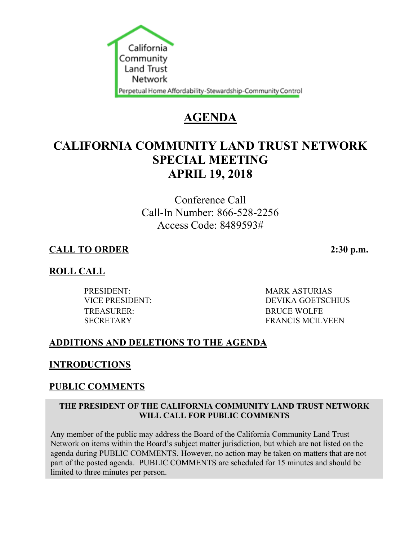

# **AGENDA**

# **CALIFORNIA COMMUNITY LAND TRUST NETWORK SPECIAL MEETING APRIL 19, 2018**

Conference Call Call-In Number: 866-528-2256 Access Code: 8489593#

# **CALL TO ORDER 2:30 p.m.**

## **ROLL CALL**

TREASURER: BRUCE WOLFE

PRESIDENT: MARK ASTURIAS VICE PRESIDENT: DEVIKA GOETSCHIUS SECRETARY FRANCIS MCILVEEN

# **ADDITIONS AND DELETIONS TO THE AGENDA**

## **INTRODUCTIONS**

# **PUBLIC COMMENTS**

#### **THE PRESIDENT OF THE CALIFORNIA COMMUNITY LAND TRUST NETWORK WILL CALL FOR PUBLIC COMMENTS**

Any member of the public may address the Board of the California Community Land Trust Network on items within the Board's subject matter jurisdiction, but which are not listed on the agenda during PUBLIC COMMENTS. However, no action may be taken on matters that are not part of the posted agenda. PUBLIC COMMENTS are scheduled for 15 minutes and should be limited to three minutes per person.